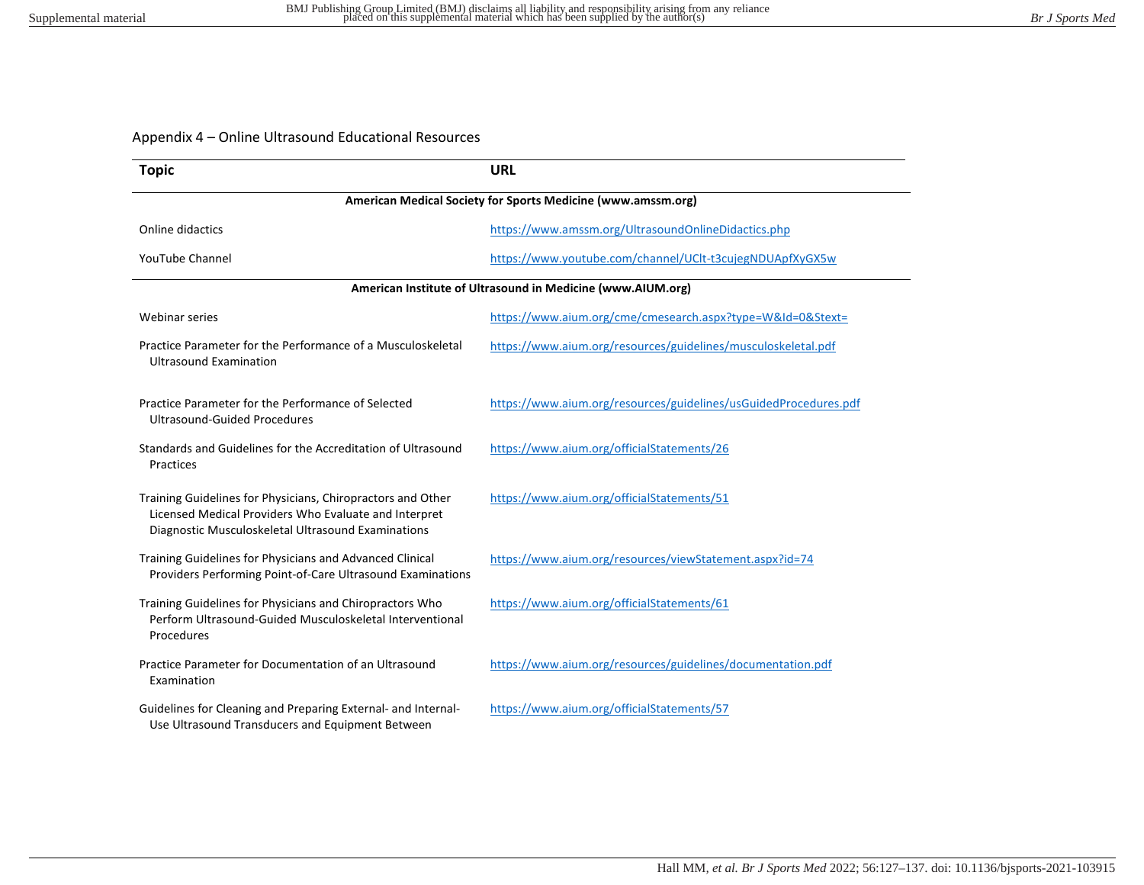## Appendix 4 – Online Ultrasound Educational Resources

| <b>Topic</b>                                                                                                                                                               | <b>URL</b>                                                       |
|----------------------------------------------------------------------------------------------------------------------------------------------------------------------------|------------------------------------------------------------------|
| American Medical Society for Sports Medicine (www.amssm.org)                                                                                                               |                                                                  |
| Online didactics                                                                                                                                                           | https://www.amssm.org/UltrasoundOnlineDidactics.php              |
| <b>YouTube Channel</b>                                                                                                                                                     | https://www.youtube.com/channel/UClt-t3cujegNDUApfXyGX5w         |
| American Institute of Ultrasound in Medicine (www.AIUM.org)                                                                                                                |                                                                  |
| <b>Webinar series</b>                                                                                                                                                      | https://www.aium.org/cme/cmesearch.aspx?type=W&Id=0&Stext=       |
| Practice Parameter for the Performance of a Musculoskeletal<br><b>Ultrasound Examination</b>                                                                               | https://www.aium.org/resources/guidelines/musculoskeletal.pdf    |
| Practice Parameter for the Performance of Selected<br><b>Ultrasound-Guided Procedures</b>                                                                                  | https://www.aium.org/resources/guidelines/usGuidedProcedures.pdf |
| Standards and Guidelines for the Accreditation of Ultrasound<br>Practices                                                                                                  | https://www.aium.org/officialStatements/26                       |
| Training Guidelines for Physicians, Chiropractors and Other<br>Licensed Medical Providers Who Evaluate and Interpret<br>Diagnostic Musculoskeletal Ultrasound Examinations | https://www.aium.org/officialStatements/51                       |
| Training Guidelines for Physicians and Advanced Clinical<br>Providers Performing Point-of-Care Ultrasound Examinations                                                     | https://www.aium.org/resources/viewStatement.aspx?id=74          |
| Training Guidelines for Physicians and Chiropractors Who<br>Perform Ultrasound-Guided Musculoskeletal Interventional<br>Procedures                                         | https://www.aium.org/officialStatements/61                       |
| Practice Parameter for Documentation of an Ultrasound<br>Examination                                                                                                       | https://www.aium.org/resources/guidelines/documentation.pdf      |
| Guidelines for Cleaning and Preparing External- and Internal-<br>Use Ultrasound Transducers and Equipment Between                                                          | https://www.aium.org/officialStatements/57                       |